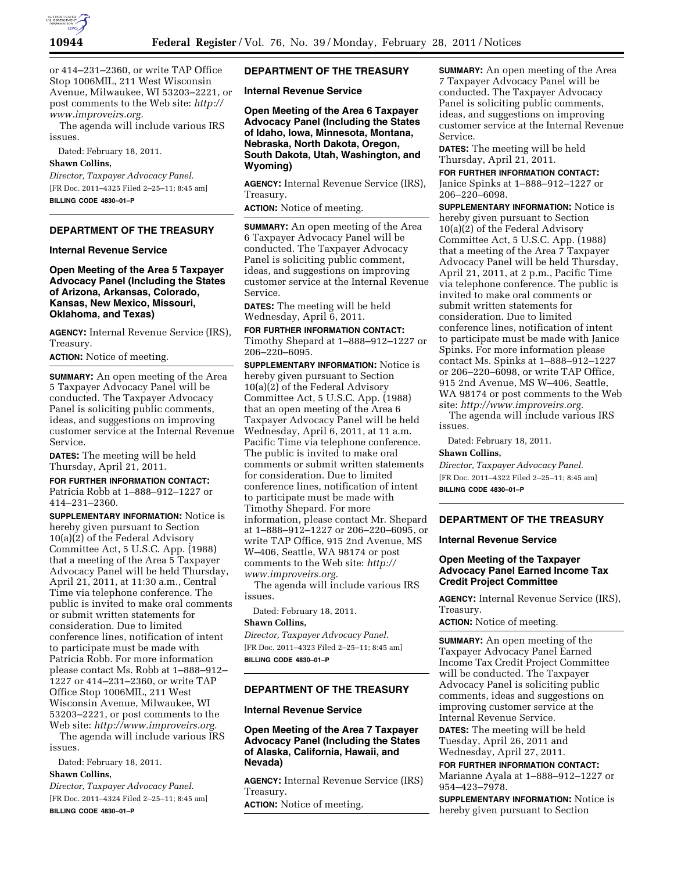

or 414–231–2360, or write TAP Office Stop 1006MIL, 211 West Wisconsin Avenue, Milwaukee, WI 53203–2221, or post comments to the Web site: *[http://](http://www.improveirs.org)  [www.improveirs.org.](http://www.improveirs.org)* 

The agenda will include various IRS issues.

Dated: February 18, 2011*.* 

### **Shawn Collins,**

*Director, Taxpayer Advocacy Panel.*  [FR Doc. 2011–4325 Filed 2–25–11; 8:45 am] **BILLING CODE 4830–01–P** 

# **DEPARTMENT OF THE TREASURY**

#### **Internal Revenue Service**

**Open Meeting of the Area 5 Taxpayer Advocacy Panel (Including the States of Arizona, Arkansas, Colorado, Kansas, New Mexico, Missouri, Oklahoma, and Texas)** 

**AGENCY:** Internal Revenue Service (IRS), Treasury.

**ACTION:** Notice of meeting.

**SUMMARY:** An open meeting of the Area 5 Taxpayer Advocacy Panel will be conducted. The Taxpayer Advocacy Panel is soliciting public comments, ideas, and suggestions on improving customer service at the Internal Revenue Service.

**DATES:** The meeting will be held Thursday, April 21, 2011.

## **FOR FURTHER INFORMATION CONTACT:**

Patricia Robb at 1–888–912–1227 or 414–231–2360.

**SUPPLEMENTARY INFORMATION:** Notice is hereby given pursuant to Section 10(a)(2) of the Federal Advisory Committee Act, 5 U.S.C. App. (1988) that a meeting of the Area 5 Taxpayer Advocacy Panel will be held Thursday, April 21, 2011, at 11:30 a.m., Central Time via telephone conference. The public is invited to make oral comments or submit written statements for consideration. Due to limited conference lines, notification of intent to participate must be made with Patricia Robb. For more information please contact Ms. Robb at 1–888–912– 1227 or 414–231–2360, or write TAP Office Stop 1006MIL, 211 West Wisconsin Avenue, Milwaukee, WI 53203–2221, or post comments to the Web site: *[http://www.improveirs.org.](http://www.improveirs.org)* 

The agenda will include various IRS issues.

Dated: February 18, 2011.

# **Shawn Collins,**

*Director, Taxpayer Advocacy Panel.*  [FR Doc. 2011–4324 Filed 2–25–11; 8:45 am] **BILLING CODE 4830–01–P** 

## **DEPARTMENT OF THE TREASURY**

**Internal Revenue Service** 

**Open Meeting of the Area 6 Taxpayer Advocacy Panel (Including the States of Idaho, Iowa, Minnesota, Montana, Nebraska, North Dakota, Oregon, South Dakota, Utah, Washington, and Wyoming)** 

**AGENCY:** Internal Revenue Service (IRS), Treasury.

**ACTION:** Notice of meeting.

**SUMMARY:** An open meeting of the Area 6 Taxpayer Advocacy Panel will be conducted. The Taxpayer Advocacy Panel is soliciting public comment, ideas, and suggestions on improving customer service at the Internal Revenue Service.

**DATES:** The meeting will be held Wednesday, April 6, 2011.

**FOR FURTHER INFORMATION CONTACT:**  Timothy Shepard at 1–888–912–1227 or 206–220–6095.

**SUPPLEMENTARY INFORMATION:** Notice is hereby given pursuant to Section 10(a)(2) of the Federal Advisory Committee Act, 5 U.S.C. App. (1988) that an open meeting of the Area 6 Taxpayer Advocacy Panel will be held Wednesday, April 6, 2011, at 11 a.m. Pacific Time via telephone conference. The public is invited to make oral comments or submit written statements for consideration. Due to limited conference lines, notification of intent to participate must be made with Timothy Shepard. For more information, please contact Mr. Shepard at 1–888–912–1227 or 206–220–6095, or write TAP Office, 915 2nd Avenue, MS W–406, Seattle, WA 98174 or post comments to the Web site: *[http://](http://www.improveirs.org)  [www.improveirs.org.](http://www.improveirs.org)* 

The agenda will include various IRS issues.

Dated: February 18, 2011.

## **Shawn Collins,**

*Director, Taxpayer Advocacy Panel.*  [FR Doc. 2011–4323 Filed 2–25–11; 8:45 am] **BILLING CODE 4830–01–P** 

# **DEPARTMENT OF THE TREASURY**

## **Internal Revenue Service**

## **Open Meeting of the Area 7 Taxpayer Advocacy Panel (Including the States of Alaska, California, Hawaii, and Nevada)**

**AGENCY:** Internal Revenue Service (IRS) Treasury.

**ACTION:** Notice of meeting.

**SUMMARY:** An open meeting of the Area 7 Taxpayer Advocacy Panel will be conducted. The Taxpayer Advocacy Panel is soliciting public comments, ideas, and suggestions on improving customer service at the Internal Revenue Service.

**DATES:** The meeting will be held Thursday, April 21, 2011.

**FOR FURTHER INFORMATION CONTACT:**  Janice Spinks at 1–888–912–1227 or 206–220–6098.

**SUPPLEMENTARY INFORMATION:** Notice is hereby given pursuant to Section 10(a)(2) of the Federal Advisory Committee Act, 5 U.S.C. App. (1988) that a meeting of the Area 7 Taxpayer Advocacy Panel will be held Thursday, April 21, 2011, at 2 p.m., Pacific Time via telephone conference. The public is invited to make oral comments or submit written statements for consideration. Due to limited conference lines, notification of intent to participate must be made with Janice Spinks. For more information please contact Ms. Spinks at 1–888–912–1227 or 206–220–6098, or write TAP Office, 915 2nd Avenue, MS W–406, Seattle, WA 98174 or post comments to the Web site: *[http://www.improveirs.org.](http://www.improveirs.org)* 

The agenda will include various IRS issues.

Dated: February 18, 2011.

# **Shawn Collins,**

*Director, Taxpayer Advocacy Panel.*  [FR Doc. 2011–4322 Filed 2–25–11; 8:45 am] **BILLING CODE 4830–01–P** 

### **DEPARTMENT OF THE TREASURY**

#### **Internal Revenue Service**

## **Open Meeting of the Taxpayer Advocacy Panel Earned Income Tax Credit Project Committee**

**AGENCY:** Internal Revenue Service (IRS), Treasury.

**ACTION:** Notice of meeting.

**SUMMARY:** An open meeting of the Taxpayer Advocacy Panel Earned Income Tax Credit Project Committee will be conducted. The Taxpayer Advocacy Panel is soliciting public comments, ideas and suggestions on improving customer service at the Internal Revenue Service. **DATES:** The meeting will be held

Tuesday, April 26, 2011 and Wednesday, April 27, 2011.

**FOR FURTHER INFORMATION CONTACT:**  Marianne Ayala at 1–888–912–1227 or 954–423–7978.

**SUPPLEMENTARY INFORMATION:** Notice is hereby given pursuant to Section